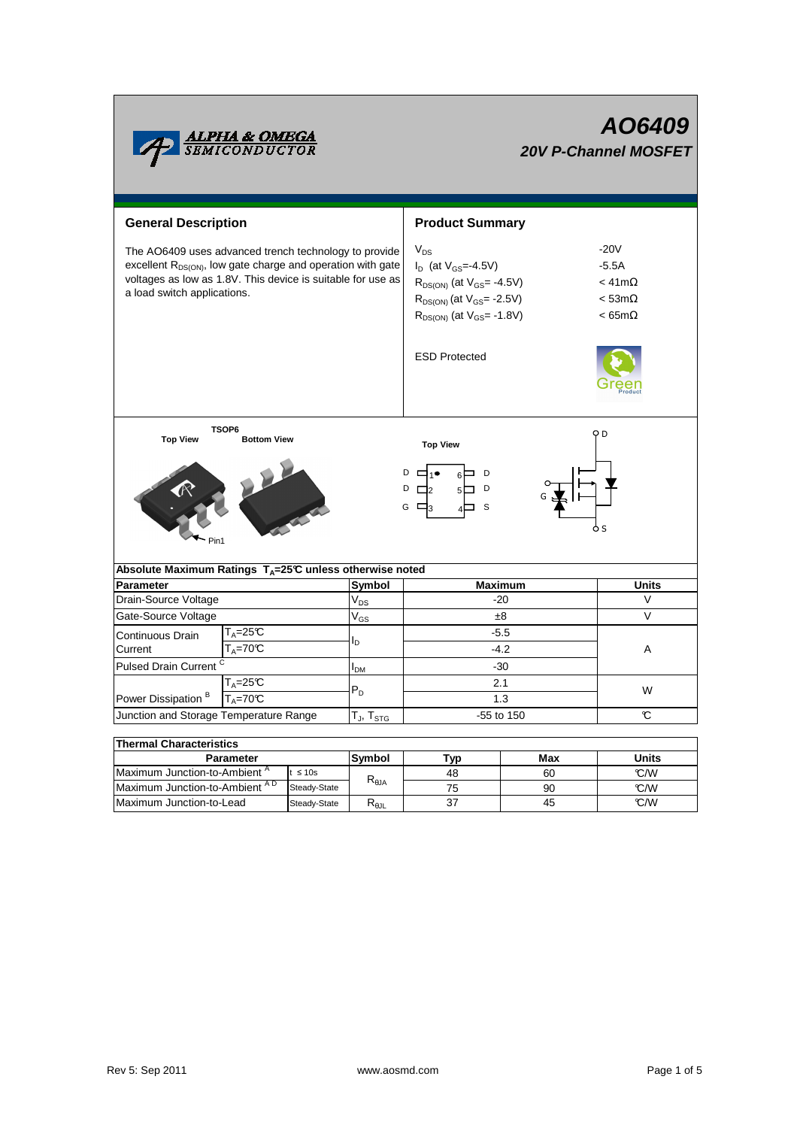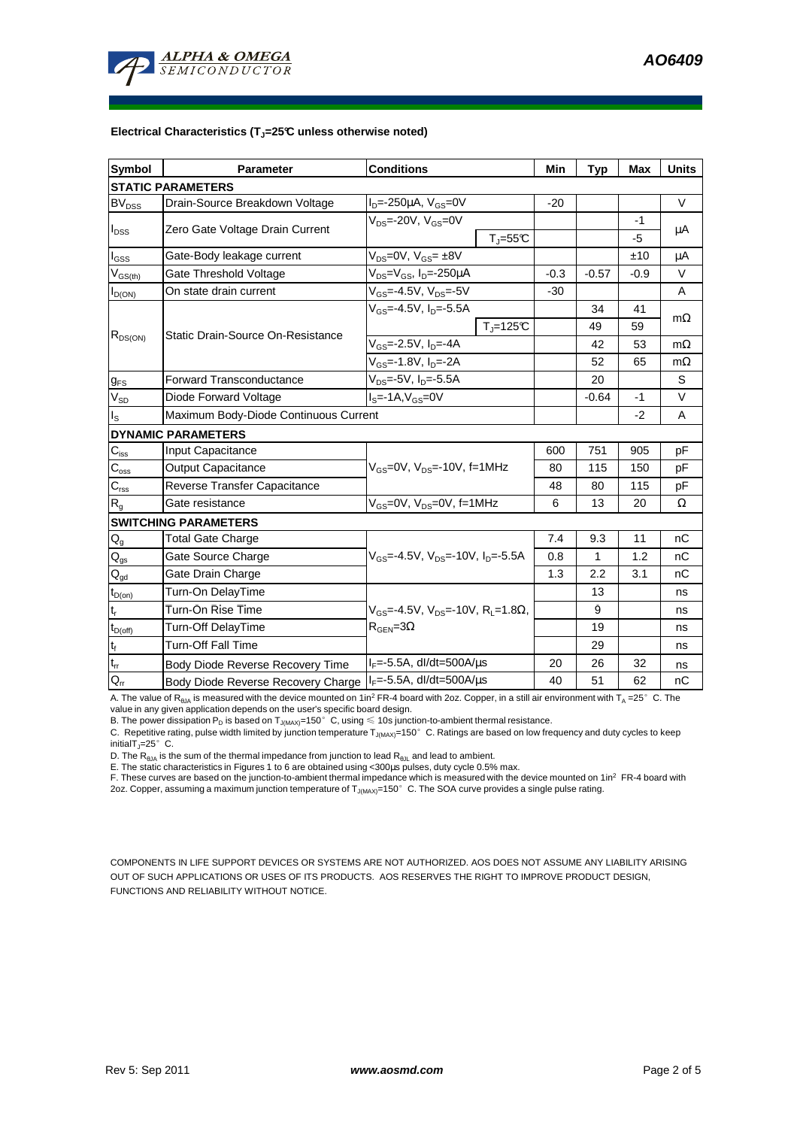**AO6409** 



## **Electrical Characteristics (TJ=25°C unless otherwise noted)**

| <b>Symbol</b>               | <b>Parameter</b>                        | <b>Conditions</b>                                                                             |                                    | Min    | <b>Typ</b> | <b>Max</b> | <b>Units</b> |
|-----------------------------|-----------------------------------------|-----------------------------------------------------------------------------------------------|------------------------------------|--------|------------|------------|--------------|
| <b>STATIC PARAMETERS</b>    |                                         |                                                                                               |                                    |        |            |            |              |
| <b>BV<sub>DSS</sub></b>     | Drain-Source Breakdown Voltage          | $I_{D} = -250 \mu A$ , $V_{GS} = 0V$                                                          |                                    | $-20$  |            |            | $\vee$       |
| $I_{\text{DSS}}$            | Zero Gate Voltage Drain Current         | $V_{DS}$ =-20V, $V_{GS}$ =0V                                                                  |                                    |        |            | -1         | μA           |
|                             |                                         |                                                                                               | $T_{\parallel} = 55$ °C            |        |            | -5         |              |
| $I_{\text{GSS}}$            | Gate-Body leakage current               | $V_{DS} = 0V$ , $V_{GS} = \pm 8V$                                                             |                                    |        |            | ±10        | μA           |
| $V_{GS(th)}$                | Gate Threshold Voltage                  | $V_{DS} = V_{GS}$ , $I_D = -250 \mu A$                                                        |                                    | $-0.3$ | $-0.57$    | $-0.9$     | $\vee$       |
| $I_{D(ON)}$                 | On state drain current                  | $V_{GS} = -4.5V$ , $V_{DS} = -5V$                                                             |                                    | $-30$  |            |            | A            |
| $R_{DS(ON)}$                | Static Drain-Source On-Resistance       | $V_{GS} = -4.5V$ , $I_{D} = -5.5A$                                                            |                                    |        | 34         | 41         | $m\Omega$    |
|                             |                                         |                                                                                               | $\overline{T}$ <sub>J</sub> =125°C |        | 49         | 59         |              |
|                             |                                         | $V_{GS}$ =-2.5V, $I_{D}$ =-4A                                                                 |                                    |        | 42         | 53         | $m\Omega$    |
|                             |                                         | $V_{GS}$ =-1.8V, $I_D$ =-2A                                                                   |                                    |        | 52         | 65         | $m\Omega$    |
| $g_{FS}$                    | <b>Forward Transconductance</b>         | $V_{DS}$ =-5V, I <sub>D</sub> =-5.5A                                                          |                                    |        | 20         |            | S            |
| $V_{SD}$                    | Diode Forward Voltage                   | $I_s = -1A$ , $V_{gs} = 0V$                                                                   |                                    |        | $-0.64$    | $-1$       | $\vee$       |
| $I_{\rm S}$                 | Maximum Body-Diode Continuous Current   |                                                                                               |                                    |        | $-2$       | A          |              |
| <b>DYNAMIC PARAMETERS</b>   |                                         |                                                                                               |                                    |        |            |            |              |
| $C_{\text{iss}}$            | Input Capacitance                       | $V_{GS}$ =0V, $V_{DS}$ =-10V, f=1MHz                                                          |                                    | 600    | 751        | 905        | pF           |
| $C_{\rm oss}$               | <b>Output Capacitance</b>               |                                                                                               |                                    | 80     | 115        | 150        | pF           |
| $\overline{C_{\rm rss}}$    | Reverse Transfer Capacitance            |                                                                                               |                                    | 48     | 80         | 115        | pF           |
| $R_{q}$                     | Gate resistance                         | $V_{GS}$ =0V, $V_{DS}$ =0V, f=1MHz                                                            |                                    | 6      | 13         | 20         | Ω            |
| <b>SWITCHING PARAMETERS</b> |                                         |                                                                                               |                                    |        |            |            |              |
| $Q_{q}$                     | <b>Total Gate Charge</b>                | $V_{GS}$ =-4.5V, $V_{DS}$ =-10V, $I_{D}$ =-5.5A                                               |                                    | 7.4    | 9.3        | 11         | nC           |
| $Q_{gs}$                    | Gate Source Charge                      |                                                                                               |                                    | 0.8    | 1          | 1.2        | nC           |
| $Q_{gd}$                    | Gate Drain Charge                       |                                                                                               |                                    | 1.3    | 2.2        | 3.1        | nC           |
| $t_{D(on)}$                 | Turn-On DelayTime                       |                                                                                               |                                    |        | 13         |            | ns           |
| t,                          | Turn-On Rise Time                       | $V_{GS}$ =-4.5V, $V_{DS}$ =-10V, R <sub>1</sub> =1.8 $\Omega$ ,<br>$R_{\text{GEN}} = 3\Omega$ |                                    |        | 9          |            | ns           |
| $t_{D(off)}$                | Turn-Off DelayTime                      |                                                                                               |                                    |        | 19         |            | ns           |
| $t_f$                       | <b>Turn-Off Fall Time</b>               |                                                                                               |                                    |        | 29         |            | ns           |
| $t_{rr}$                    | <b>Body Diode Reverse Recovery Time</b> | $I_F = -5.5A$ , dl/dt=500A/ $\mu$ s                                                           |                                    | 20     | 26         | 32         | ns           |
| $Q_{rr}$                    | Body Diode Reverse Recovery Charge      | $I_F = -5.5A$ , dl/dt=500A/us                                                                 |                                    | 40     | 51         | 62         | nC           |

A. The value of R<sub>θJA</sub> is measured with the device mounted on 1in<sup>2</sup> FR-4 board with 2oz. Copper, in a still air environment with T<sub>A</sub> =25°C. The

value in any given application depends on the user's specific board design.<br>B. The power dissipation P<sub>D</sub> is based on T<sub>J(MAX)</sub>=150°C, using ≤ 10s junction-to-ambient thermal resistance.

C. Repetitive rating, pulse width limited by junction temperature  $T_{J(MAX)}$ =150°C. Ratings are based on low frequency and duty cycles to keep initialT $_J=25^\circ$  C.

D. The  $R_{AJA}$  is the sum of the thermal impedance from junction to lead  $R_{AJI}$  and lead to ambient.

E. The static characteristics in Figures 1 to 6 are obtained using <300us pulses, duty cycle 0.5% max.

F. These curves are based on the junction-to-ambient thermal impedance which is measured with the device mounted on 1in<sup>2</sup> FR-4 board with 2oz. Copper, assuming a maximum junction temperature of  $T_{J(MAX)}$ =150°C. The SOA curve provides a single pulse rating.

COMPONENTS IN LIFE SUPPORT DEVICES OR SYSTEMS ARE NOT AUTHORIZED. AOS DOES NOT ASSUME ANY LIABILITY ARISING OUT OF SUCH APPLICATIONS OR USES OF ITS PRODUCTS. AOS RESERVES THE RIGHT TO IMPROVE PRODUCT DESIGN, FUNCTIONS AND RELIABILITY WITHOUT NOTICE.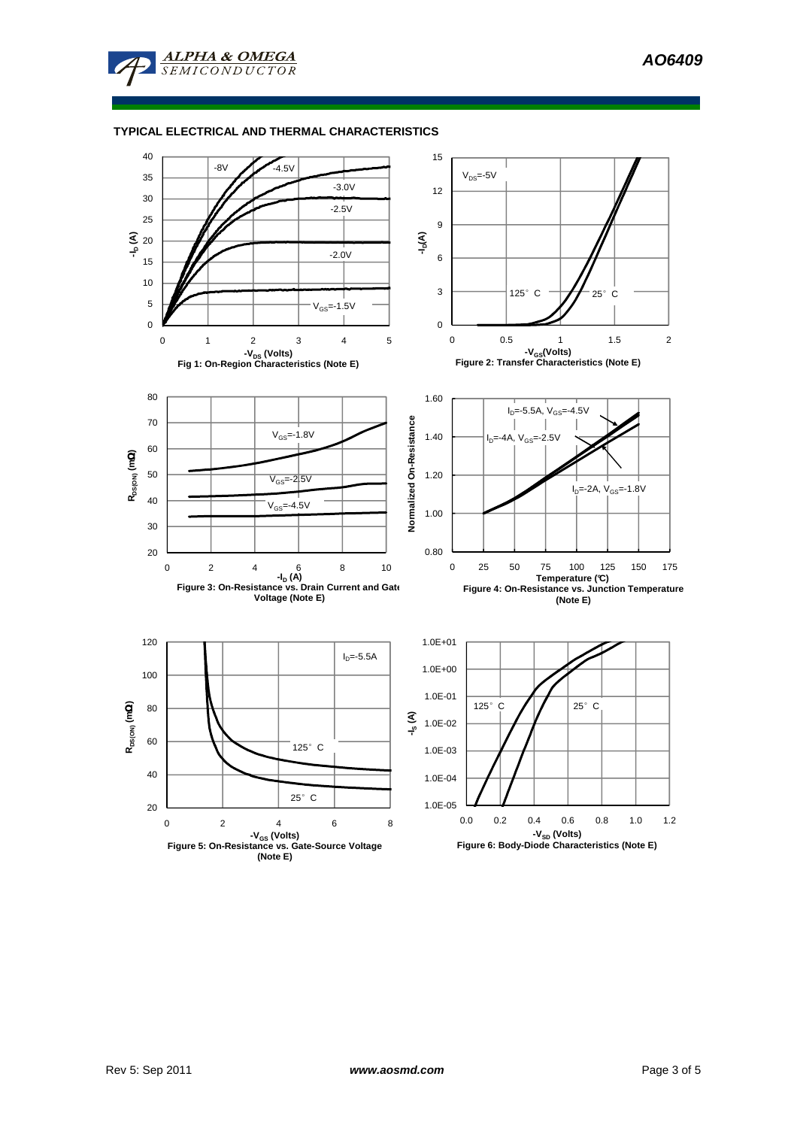

## **TYPICAL ELECTRICAL AND THERMAL CHARACTERISTICS**

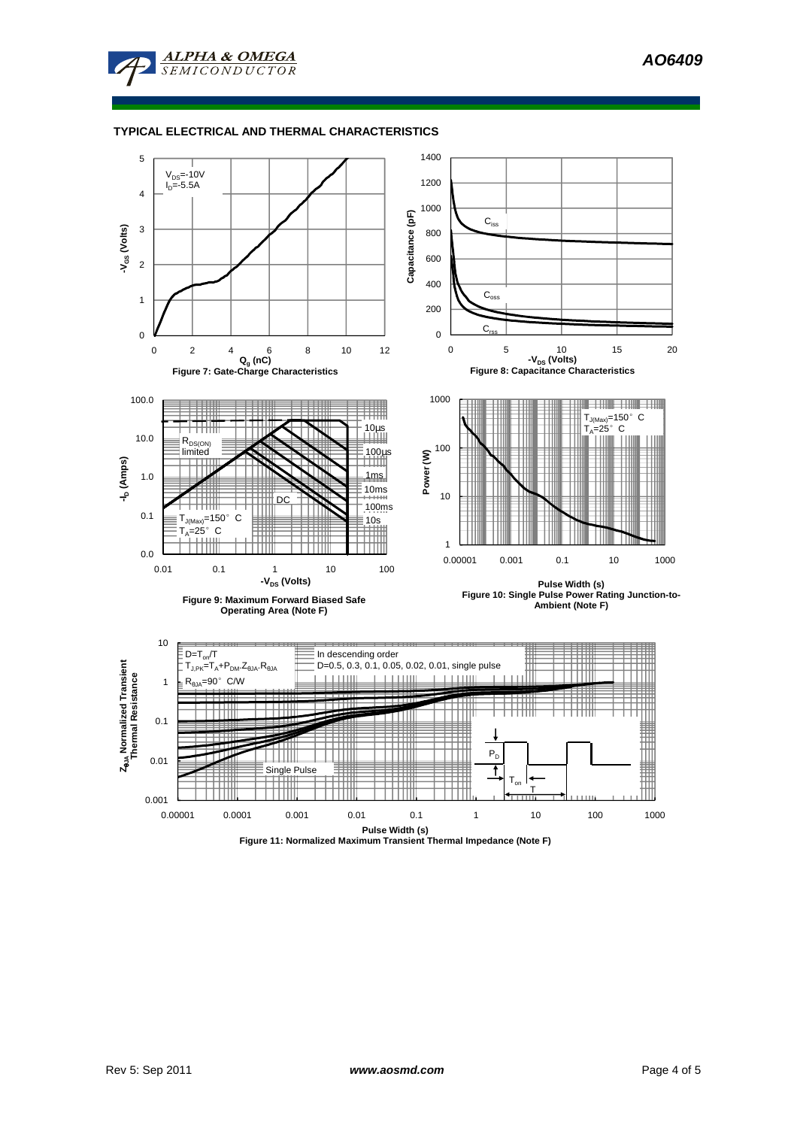

## **TYPICAL ELECTRICAL AND THERMAL CHARACTERISTICS**